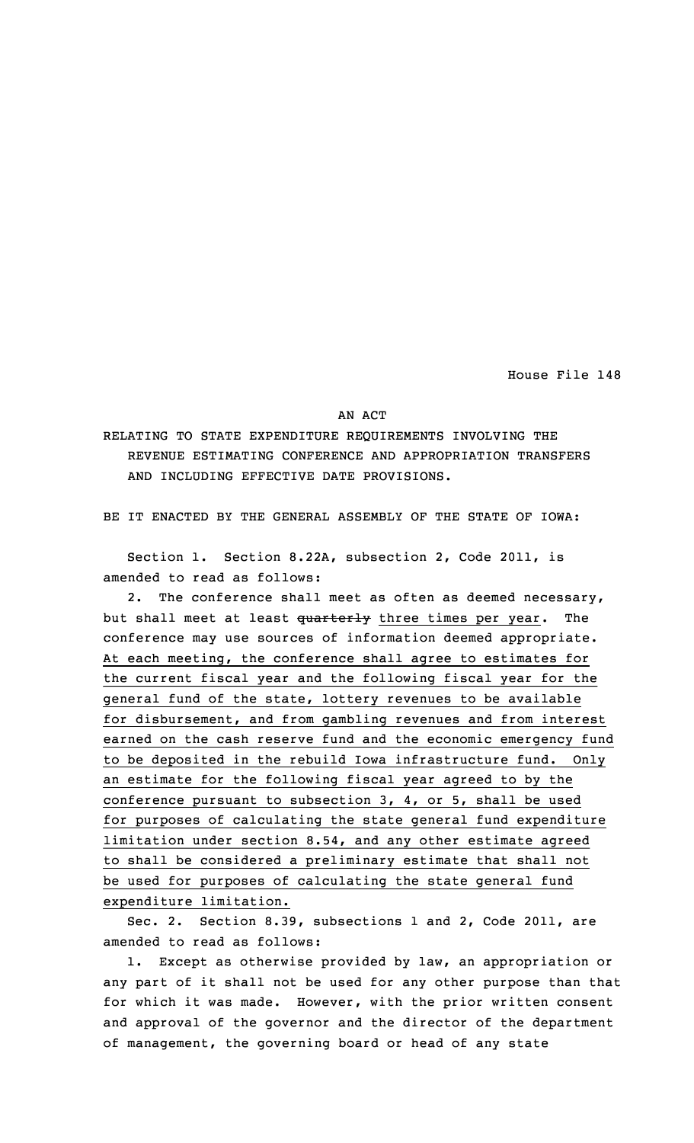House File 148

## AN ACT

RELATING TO STATE EXPENDITURE REQUIREMENTS INVOLVING THE REVENUE ESTIMATING CONFERENCE AND APPROPRIATION TRANSFERS AND INCLUDING EFFECTIVE DATE PROVISIONS.

BE IT ENACTED BY THE GENERAL ASSEMBLY OF THE STATE OF IOWA:

Section 1. Section 8.22A, subsection 2, Code 2011, is amended to read as follows:

2. The conference shall meet as often as deemed necessary, but shall meet at least quarterly three times per year. The conference may use sources of information deemed appropriate. At each meeting, the conference shall agree to estimates for the current fiscal year and the following fiscal year for the general fund of the state, lottery revenues to be available for disbursement, and from gambling revenues and from interest earned on the cash reserve fund and the economic emergency fund to be deposited in the rebuild Iowa infrastructure fund. Only an estimate for the following fiscal year agreed to by the conference pursuant to subsection 3, 4, or 5, shall be used for purposes of calculating the state general fund expenditure limitation under section 8.54, and any other estimate agreed to shall be considered <sup>a</sup> preliminary estimate that shall not be used for purposes of calculating the state general fund expenditure limitation.

Sec. 2. Section 8.39, subsections 1 and 2, Code 2011, are amended to read as follows:

1. Except as otherwise provided by law, an appropriation or any part of it shall not be used for any other purpose than that for which it was made. However, with the prior written consent and approval of the governor and the director of the department of management, the governing board or head of any state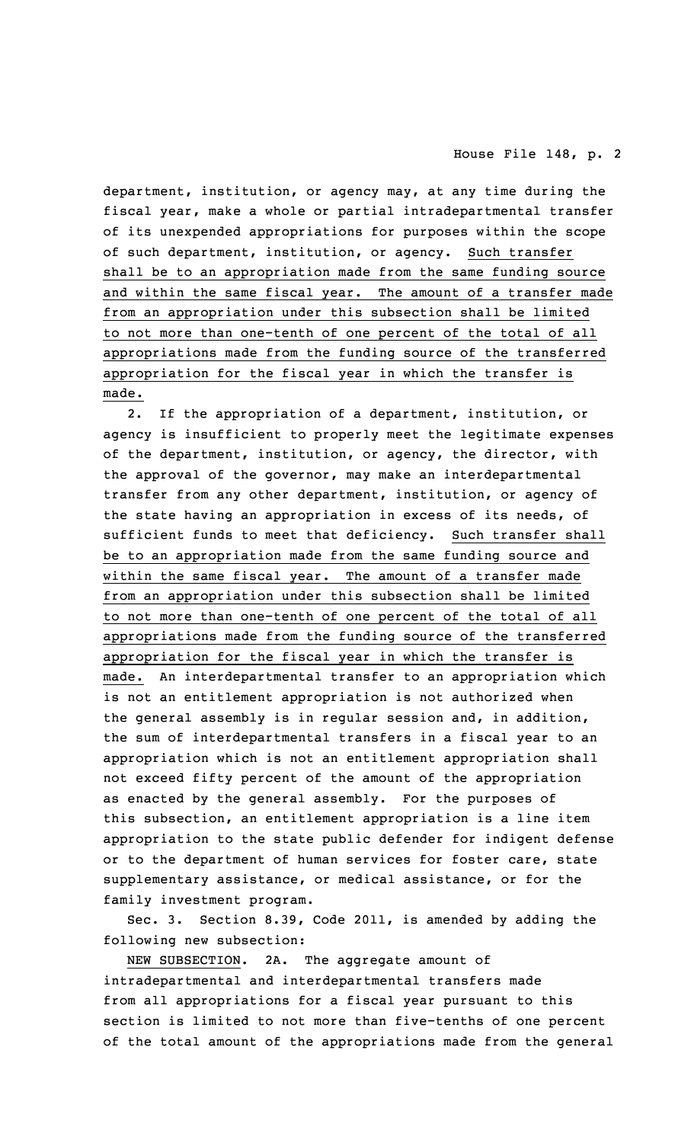department, institution, or agency may, at any time during the fiscal year, make <sup>a</sup> whole or partial intradepartmental transfer of its unexpended appropriations for purposes within the scope of such department, institution, or agency. Such transfer shall be to an appropriation made from the same funding source and within the same fiscal year. The amount of <sup>a</sup> transfer made from an appropriation under this subsection shall be limited to not more than one-tenth of one percent of the total of all appropriations made from the funding source of the transferred appropriation for the fiscal year in which the transfer is made.

2. If the appropriation of <sup>a</sup> department, institution, or agency is insufficient to properly meet the legitimate expenses of the department, institution, or agency, the director, with the approval of the governor, may make an interdepartmental transfer from any other department, institution, or agency of the state having an appropriation in excess of its needs, of sufficient funds to meet that deficiency. Such transfer shall be to an appropriation made from the same funding source and within the same fiscal year. The amount of <sup>a</sup> transfer made from an appropriation under this subsection shall be limited to not more than one-tenth of one percent of the total of all appropriations made from the funding source of the transferred appropriation for the fiscal year in which the transfer is made. An interdepartmental transfer to an appropriation which is not an entitlement appropriation is not authorized when the general assembly is in regular session and, in addition, the sum of interdepartmental transfers in <sup>a</sup> fiscal year to an appropriation which is not an entitlement appropriation shall not exceed fifty percent of the amount of the appropriation as enacted by the general assembly. For the purposes of this subsection, an entitlement appropriation is <sup>a</sup> line item appropriation to the state public defender for indigent defense or to the department of human services for foster care, state supplementary assistance, or medical assistance, or for the family investment program.

Sec. 3. Section 8.39, Code 2011, is amended by adding the following new subsection:

NEW SUBSECTION. 2A. The aggregate amount of intradepartmental and interdepartmental transfers made from all appropriations for <sup>a</sup> fiscal year pursuant to this section is limited to not more than five-tenths of one percent of the total amount of the appropriations made from the general